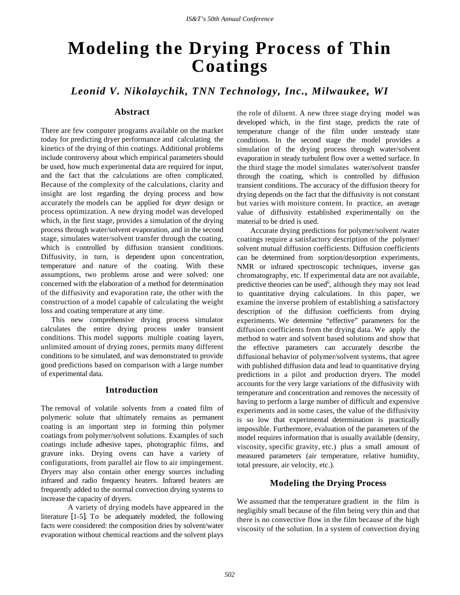# **Modeling the Drying Process of Thin Coatings**

*Leonid V. Nikolaychik, TNN Technology, Inc., Milwaukee, WI*

# **Abstract**

There are few computer programs available on the market today for predicting dryer performance and calculating the kinetics of the drying of thin coatings. Additional problems include controversy about which empirical parameters should be used, how much experimental data are required for input, and the fact that the calculations are often complicated. Because of the complexity of the calculations, clarity and insight are lost regarding the drying process and how accurately the models can be applied for dryer design or process optimization. A new drying model was developed which, in the first stage, provides a simulation of the drying process through water/solvent evaporation, and in the second stage, simulates water/solvent transfer through the coating, which is controlled by diffusion transient conditions. Diffusivity, in turn, is dependent upon concentration, temperature and nature of the coating. With these assumptions, two problems arose and were solved: one concerned with the elaboration of a method for determination of the diffusivity and evaporation rate, the other with the construction of a model capable of calculating the weight loss and coating temperature at any time.

This new comprehensive drying process simulator calculates the entire drying process under transient conditions. This model supports multiple coating layers, unlimited amount of drying zones, permits many different conditions to be simulated, and was demonstrated to provide good predictions based on comparison with a large number of experimental data.

## **Introduction**

The removal of volatile solvents from a coated film of polymeric solute that ultimately remains as permanent coating is an important step in forming thin polymer coatings from polymer/solvent solutions. Examples of such coatings include adhesive tapes, photographic films, and gravure inks. Drying ovens can have a variety of configurations, from parallel air flow to air impingement. Dryers may also contain other energy sources including infrared and radio frequency heaters. Infrared heaters are frequently added to the normal convection drying systems to increase the capacity of dryers.

A variety of drying models have appeared in the literature [1-5]. To be adequately modeled, the following facts were considered: the composition dries by solvent/water evaporation without chemical reactions and the solvent plays

the role of diluent. A new three stage drying model was developed which, in the first stage, predicts the rate of temperature change of the film under unsteady state conditions. In the second stage the model provides a simulation of the drying process through water/solvent evaporation in steady turbulent flow over a wetted surface. In the third stage the model simulates water/solvent transfer through the coating, which is controlled by diffusion transient conditions. The accuracy of the diffusion theory for drying depends on the fact that the diffusivity is not constant but varies with moisture content. In practice, an average value of diffusivity established experimentally on the material to be dried is used.

Accurate drying predictions for polymer/solvent /water coatings require a satisfactory description of the polymer/ solvent mutual diffusion coefficients. Diffusion coefficients can be determined from sorption/desorption experiments, NMR or infrared spectroscopic techniques, inverse gas chromatography, etc. If experimental data are not available, predictive theories can be used<sup>6</sup>, although they may not lead to quantitative drying calculations. In this paper, we examine the inverse problem of establishing a satisfactory description of the diffusion coefficients from drying experiments. We determine "effective" parameters for the diffusion coefficients from the drying data. We apply the method to water and solvent based solutions and show that the effective parameters can accurately describe the diffusional behavior of polymer/solvent systems, that agree with published diffusion data and lead to quantitative drying predictions in a pilot and production dryers. The model accounts for the very large variations of the diffusivity with temperature and concentration and removes the necessity of having to perform a large number of difficult and expensive experiments and in some cases, the value of the diffusivity is so low that experimental determination is practically impossible. Furthermore, evaluation of the parameters of the model requires information that is usually available (density, viscosity, specific gravity, etc.) plus a small amount of measured parameters (air temperature, relative humidity, total pressure, air velocity, etc.).

## **Modeling the Drying Process**

We assumed that the temperature gradient in the film is negligibly small because of the film being very thin and that there is no convective flow in the film because of the high viscosity of the solution. In a system of convection drying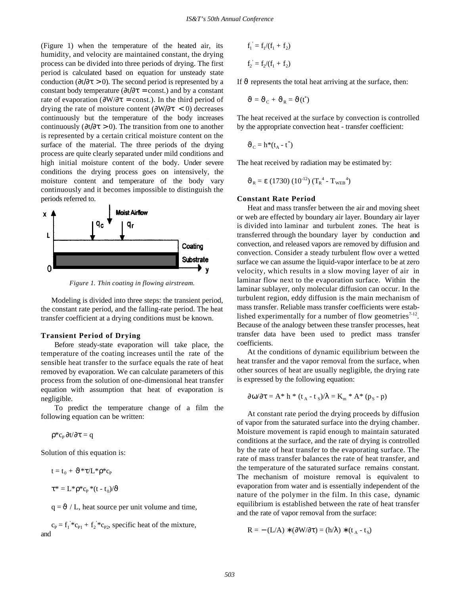(Figure 1) when the temperature of the heated air, its humidity, and velocity are maintained constant, the drying process can be divided into three periods of drying. The first period is calculated based on equation for unsteady state conduction ( $\partial t/\partial \tau > 0$ ). The second period is represented by a constant body temperature ( $\partial t / \partial \tau$  = const.) and by a constant rate of evaporation ( $\frac{\partial W}{\partial \tau}$  = const.). In the third period of drying the rate of moisture content ( $\frac{\partial W}{\partial \tau}$  < 0) decreases continuously but the temperature of the body increases continuously ( $\partial t / \partial \tau > 0$ ). The transition from one to another is represented by a certain critical moisture content on the surface of the material. The three periods of the drying process are quite clearly separated under mild conditions and high initial moisture content of the body. Under severe conditions the drying process goes on intensively, the moisture content and temperature of the body vary continuously and it becomes impossible to distinguish the periods referred to.



*Figure 1. Thin coating in flowing airstream.*

Modeling is divided into three steps: the transient period, the constant rate period, and the falling-rate period. The heat transfer coefficient at a drying conditions must be known.

## **Transient Period of Drying**

Before steady-state evaporation will take place, the temperature of the coating increases until the rate of the sensible heat transfer to the surface equals the rate of heat removed by evaporation. We can calculate parameters of this process from the solution of one-dimensional heat transfer equation with assumption that heat of evaporation is negligible.

To predict the temperature change of a film the following equation can be written:

$$
\rho^*c_{\scriptscriptstyle P}\,\partial t/\partial\tau=q
$$

Solution of this equation is:

$$
t = t_0 + \vartheta^* \tau / L^* \rho^* c_P
$$
  

$$
\tau^* = L^* \rho^* c_P^* (t - t_0) / \vartheta
$$

 $q = \vartheta / L$ , heat source per unit volume and time,

 $c_P = f_1^{\prime *} c_{P1} + f_2^{\prime *} c_{P2}$ , specific heat of the mixture, and

$$
f_1^{\prime} = f_1/(f_1 + f_2)
$$
  

$$
f_2^{\prime} = f_2/(f_1 + f_2)
$$

If  $\vartheta$  represents the total heat arriving at the surface, then:

$$
\vartheta = \vartheta_{\rm C} + \vartheta_{\rm R} = \vartheta(t^*)
$$

The heat received at the surface by convection is controlled by the appropriate convection heat - transfer coefficient:

$$
\vartheta_{\rm C} = h^*(t_{\rm A} - t^*)
$$

The heat received by radiation may be estimated by:

$$
\vartheta_{\rm R} = \varepsilon (1730) (10^{-12}) (T_{\rm R}^4 - T_{\rm WEB}^4)
$$

## **Constant Rate Period**

Heat and mass transfer between the air and moving sheet or web are effected by boundary air layer. Boundary air layer is divided into laminar and turbulent zones. The heat is transferred through the boundary layer by conduction and convection, and released vapors are removed by diffusion and convection. Consider a steady turbulent flow over a wetted surface we can assume the liquid-vapor interface to be at zero velocity, which results in a slow moving layer of air in laminar flow next to the evaporation surface. Within the laminar sublayer, only molecular diffusion can occur. In the turbulent region, eddy diffusion is the main mechanism of mass transfer. Reliable mass transfer coefficients were established experimentally for a number of flow geometries $7-12$ . Because of the analogy between these transfer processes, heat transfer data have been used to predict mass transfer coefficients.

At the conditions of dynamic equilibrium between the heat transfer and the vapor removal from the surface, when other sources of heat are usually negligible, the drying rate is expressed by the following equation:

$$
\partial \omega / \partial \tau = A^* h^* (t_A - t_S) / \lambda = K_m^* A^* (p_S - p)
$$

At constant rate period the drying proceeds by diffusion of vapor from the saturated surface into the drying chamber. Moisture movement is rapid enough to maintain saturated conditions at the surface, and the rate of drying is controlled by the rate of heat transfer to the evaporating surface. The rate of mass transfer balances the rate of heat transfer, and the temperature of the saturated surface remains constant. The mechanism of moisture removal is equivalent to evaporation from water and is essentially independent of the nature of the polymer in the film. In this case, dynamic equilibrium is established between the rate of heat transfer and the rate of vapor removal from the surface:

$$
R = - (L/A) * (\partial W / \partial \tau) = (h/\lambda) * (t_A - t_S)
$$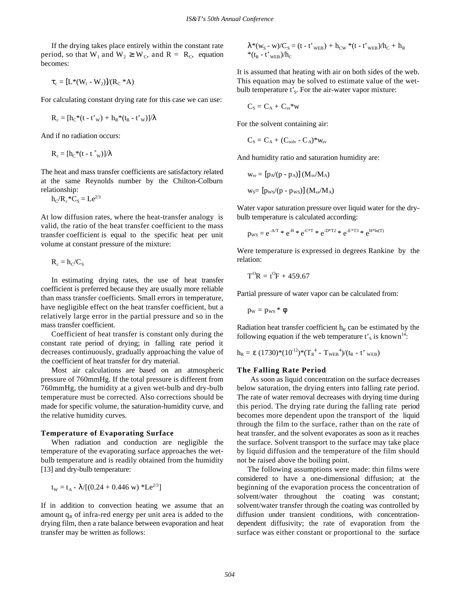If the drying takes place entirely within the constant rate period, so that W<sub>1</sub> and W<sub>2</sub>  $\geq$  W<sub>c</sub>, and R = R<sub>c</sub>, equation becomes:

$$
\tau_c = [L^*(W_1 - W_2)]/(R_C * A)
$$

For calculating constant drying rate for this case we can use:

$$
R_c = [h_C^*(t - t'_{w}) + h_R^*(t_R - t'_{w})] / \lambda
$$

And if no radiation occurs:

$$
R_c = [h_C^*(t - t_{\ w}^*)] / \lambda
$$

The heat and mass transfer coefficients are satisfactory related at the same Reynolds number by the Chilton-Colburn relationship:

$$
h_{C}/R_{c}^{*}C_{S}=Le^{2/3}
$$

At low diffusion rates, where the heat-transfer analogy is valid, the ratio of the heat transfer coefficient to the mass transfer coefficient is equal to the specific heat per unit volume at constant pressure of the mixture:

$$
R_{\rm c} = h_{\rm C}/C_{\rm S}
$$

In estimating drying rates, the use of heat transfer coefficient is preferred because they are usually more reliable than mass transfer coefficients. Small errors in temperature, have negligible effect on the heat transfer coefficient, but a relatively large error in the partial pressure and so in the mass transfer coefficient.

Coefficient of heat transfer is constant only during the constant rate period of drying; in falling rate period it decreases continuously, gradually approaching the value of the coefficient of heat transfer for dry material.

Most air calculations are based on an atmospheric pressure of 760mmHg. If the total pressure is different from 760mmHg, the humidity at a given wet-bulb and dry-bulb temperature must be corrected. Also corrections should be made for specific volume, the saturation-humidity curve, and the relative humidity curves.

#### **Temperature of Evaporating Surface**

When radiation and conduction are negligible the temperature of the evaporating surface approaches the wetbulb temperature and is readily obtained from the humidity [13] and dry-bulb temperature:

$$
t_w = t_A - \lambda/[(0.24 + 0.446 \text{ w}) * Le^{2/3}]
$$

If in addition to convection heating we assume that an amount  $q<sub>R</sub>$  of infra-red energy per unit area is added to the drying film, then a rate balance between evaporation and heat transfer may be written as follows:

$$
\lambda^*(w_{S} - w)/C_{S} = (t - t'_{\text{WEB}}) + h_{\text{CW}} * (t - t'_{\text{WEB}})/h_{\text{C}} + h_{\text{R}}
$$
  
\*(t<sub>R</sub> - t'\_{\text{WEB}})/h\_{\text{C}}

It is assumed that heating with air on both sides of the web. This equation may be solved to estimate value of the wetbulb temperature t'<sub>s</sub>. For the air-water vapor mixture:

$$
C_S = C_{\rm A} + C_{\rm sv}{}^*w
$$

For the solvent containing air:

$$
C_S = C_A + (C_{solv} - C_A)^* w_{sv}
$$

And humidity ratio and saturation humidity are:

$$
w_{sv} = [p_A/(p - p_A)] (M_{sv}/M_A)
$$
  

$$
w_S = [p_{ws}/(p - p_{ws})] (M_{sv}/M_A)
$$

Water vapor saturation pressure over liquid water for the drybulb temperature is calculated according:

$$
p_{\rm WS} = e^{-A/T} \, * \, e^{-B} \, * \, e^{-C * T} \, * \, e^{-D * T2} \, * \, e^{-E * T3} \, * \, e^{H * ln(T)}
$$

Were temperature is expressed in degrees Rankine by the relation:

$$
T^0R = t^0F + 459.67
$$

Partial pressure of water vapor can be calculated from:

$$
p_W = p_{WS} * \phi
$$

Radiation heat transfer coefficient  $h_R$  can be estimated by the following equation if the web temperature  $t'_{s}$  is known<sup>14</sup>:

$$
h_{R} = \varepsilon (1730)^{*}(10^{12})^{*}(T_{R}^{4} - T_{WEB}^{4})/(t_{R} - t_{WEB})
$$

#### **The Falling Rate Period**

As soon as liquid concentration on the surface decreases below saturation, the drying enters into falling rate period. The rate of water removal decreases with drying time during this period. The drying rate during the falling rate period becomes more dependent upon the transport of the liquid through the film to the surface, rather than on the rate of heat transfer, and the solvent evaporates as soon as it reaches the surface. Solvent transport to the surface may take place by liquid diffusion and the temperature of the film should not be raised above the boiling point.

The following assumptions were made: thin films were considered to have a one-dimensional diffusion; at the beginning of the evaporation process the concentration of solvent/water throughout the coating was constant; solvent/water transfer through the coating was controlled by diffusion under transient conditions, with concentrationdependent diffusivity; the rate of evaporation from the surface was either constant or proportional to the surface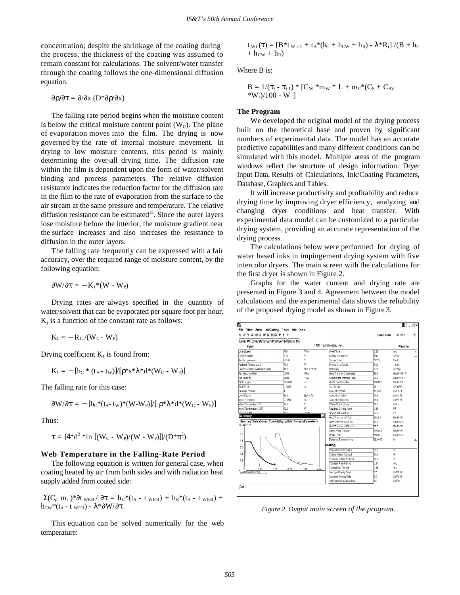concentration; despite the shrinkage of the coating during the process, the thickness of the coating was assumed to remain constant for calculations. The solvent/water transfer through the coating follows the one-dimensional diffusion equation:

$$
\frac{\partial \rho}{\partial \tau} = \frac{\partial}{\partial x} \left( D^* \frac{\partial \rho}{\partial x} \right)
$$

The falling rate period begins when the moisture content is below the critical moisture content point  $(W<sub>C</sub>)$ . The plane of evaporation moves into the film. The drying is now governed by the rate of internal moisture movement. In drying to low moisture contents, this period is mainly determining the over-all drying time. The diffusion rate within the film is dependent upon the form of water/solvent binding and process parameters. The relative diffusion resistance indicates the reduction factor for the diffusion rate in the film to the rate of evaporation from the surface to the air stream at the same pressure and temperature. The relative diffusion resistance can be estimated<sup>15</sup>. Since the outer layers lose moisture before the interior, the moisture gradient near the surface increases and also increases the resistance to diffusion in the outer layers.

The falling rate frequently can be expressed with a fair accuracy, over the required range of moisture content, by the following equation:

$$
\partial W/\partial \tau = -\; K_1{}^*(W\; \text{-}\; W_P)
$$

Drying rates are always specified in the quantity of water/solvent that can be evaporated per square foot per hour.  $K<sub>1</sub>$  is a function of the constant rate as follows:

$$
K_1=-\,R_C\,/(W_C\text{-}\,W_P)
$$

Drying coefficient  $K_1$  is found from:

$$
K_1 = - [h_C * (t_A - t_W)] / [\rho * s * \lambda * d * (W_C - W_P)]
$$

The falling rate for this case:

$$
\partial W/\partial \tau = - \left[ h_C^*(t_A - t_W)^*(W-W_P) \right] / \left[ \rho^* \lambda^* d^*(W_C - W_P) \right]
$$

Thus:

$$
\tau = \{4^*d^2 * \ln \ [ (W_C - W_P)/(W - W_P) ] \} / (D^* \pi^2)
$$

### **Web Temperature in the Falling-Rate Period**

The following equation is written for general case, when coating heated by air from both sides and with radiation heat supply added from coated side:

 $\Sigma(C_{pi} m_i) * ∂t$ <sub>WEB</sub> / ∂τ = h<sub>C</sub>\*(t<sub>A</sub> - t <sub>WEB</sub>) + h<sub>R</sub>\*(t<sub>A</sub> - t <sub>WEB</sub>) +  $h_{CW}*(t_A - t_{\text{WEB}}) - λ * ∂W/∂τ$ 

This equation can be solved numerically for the web temperature:

$$
\begin{array}{l} t_{\mathrm{\,Wi\,}}(\tau) = \left[B^{*}t_{\mathrm{\,W\,i\text{-}1}} + t_{A}{}^{*}(h_{C} + h_{CW} + h_{R}) \text{ - } \lambda^{*}R_{i}\right] / (B\text{ + } h_{C} \\ \text{ + } h_{CW} + h_{R}) \end{array}
$$

Where B is:

$$
\begin{array}{l} B = 1/(\tau_i - \tau_{i\text{-}1}) * [C_W * m_W * L + m_C * (C_S + C_{SV}\\ * W_i)/100 - W_i \end{array}
$$

#### **The Program**

We developed the original model of the drying process built on the theoretical base and proven by significant numbers of experimental data. The model has an accurate predictive capabilities and many different conditions can be simulated with this model. Multiple areas of the program windows reflect the structure of design information: Dryer Input Data, Results of Calculations, Ink/Coating Parameters, Database, Graphics and Tables.

It will increase productivity and profitability and reduce drying time by improving dryer efficiency, analyzing and changing dryer conditions and heat transfer. With experimental data model can be customized to a particular drying system, providing an accurate representation of the drying process.

The calculations below were performed for drying of water based inks in impingement drying system with five intercolor dryers. The main screen with the calculations for the first dryer is shown in Figure 2.

Graphs for the water content and drying rate are presented in Figure 3 and 4. Agreement between the model calculations and the experimental data shows the reliability of the proposed drying model as shown in Figure 3.



*Figure 2. Output main screen of the program.*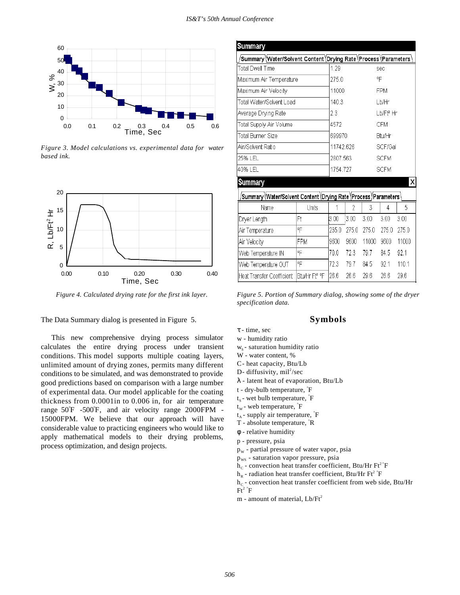

*Figure 3. Model calculations vs. experimental data for water based ink.*



*Figure 4. Calculated drying rate for the first ink layer.*

The Data Summary dialog is presented in Figure 5.

This new comprehensive drying process simulator calculates the entire drying process under transient conditions. This model supports multiple coating layers, unlimited amount of drying zones, permits many different conditions to be simulated, and was demonstrated to provide good predictions based on comparison with a large number of experimental data. Our model applicable for the coating thickness from 0.0001in to 0.006 in, for air temperature range 50°F -500°F, and air velocity range 2000FPM - 15000FPM. We believe that our approach will have considerable value to practicing engineers who would like to apply mathematical models to their drying problems, process optimization, and design projects.

| <b>Summary</b>                                                      |                           |           |       |       |                       |       |
|---------------------------------------------------------------------|---------------------------|-----------|-------|-------|-----------------------|-------|
| ˈSummary (Water/Solvent Content (Drying Rate (Process (Parameters ) |                           |           |       |       |                       |       |
| Total Dwell Time                                                    |                           | 1.29      |       |       | sec                   |       |
| Maximum Air Temperature                                             |                           | 275.0     |       |       | °F                    |       |
| Maximum Air Velocity                                                |                           | 11000     |       |       | <b>FPM</b>            |       |
| Total Water/Solvent Load                                            |                           | 140.3     |       |       | Lb/Hr                 |       |
| Average Drying Rate                                                 |                           | 23        |       |       | Lb/Ft <sup>2</sup> Hr |       |
| Total Supply Air Volume                                             |                           | 4572      |       |       | <b>CFM</b>            |       |
| Total Burner Size                                                   |                           | 699970    |       |       | Btu/Hr                |       |
| Air/Solvent Ratio                                                   |                           | 11742.626 |       |       | SCF/Gal               |       |
| 25% LEL                                                             |                           | 2807.563  |       |       | <b>SCFM</b>           |       |
| 140% LEL                                                            |                           | 1754.727  |       |       | <b>SCFM</b>           |       |
| X<br><b>Summary</b>                                                 |                           |           |       |       |                       |       |
|                                                                     |                           |           |       |       |                       |       |
| Name                                                                | Units                     | 1         | 2     | 3     | 4                     | 5     |
| Dryer Length                                                        | Ft                        | 3.00      | 3.00  | 3.00  | 3.00                  | 3.00  |
| Air Temperature                                                     | °F                        | 235.0     | 275.0 | 275.0 | 275.0                 | 275.0 |
| Air Velocity                                                        | FPM                       | 9600      | 9600  | 11000 | 9600                  | 11000 |
| Web Temperature IN                                                  | ℉                         | 70.0      | 72.3  | 79.7  | 84.5                  | 92.1  |
| Web Temperature OUT                                                 | °F                        | 72.3      | 797   | 84.5  | 921                   | 110.1 |
| Heat Transfer Coefficient                                           | Btu/Hr Ft <sup>2</sup> °F | 26.6      | 26.6  | 29.6  | 26.6                  | 29.6  |

*Figure 5. Portion of Summary dialog, showing some of the dryer specification data.*

## **Symbols**

τ - time, sec

- w humidity ratio
- $w_s$  saturation humidity ratio
- W water content, %
- C- heat capacity, Btu/Lb
- D- diffusivity,  $\text{mil}^2/\text{sec}$
- λ latent heat of evaporation, Btu/Lb

t - dry-bulb temperature, ° F

- $t_s$  wet bulb temperature,  $\hat{F}$
- $t_w$  web temperature,  $\hat{F}$
- $t_A$  supply air temperature,  $\hat{F}$
- T absolute temperature, °R
- φ relative humidity
- p pressure, psia
- $p_w$  partial pressure of water vapor, psia
- $p_{ws}$  saturation vapor pressure, psia
- $h_c$  convection heat transfer coefficient, Btu/Hr Ft<sup>2</sup><sup>°</sup>F
- $h_R$  radiation heat transfer coefficient, Btu/Hr Ft<sup>2</sup>  $\rm \degree F$
- $h_c$  convection heat transfer coefficient from web side, Btu/Hr  $\rm{Ft}^2$   $\rm{F}$
- m amount of material,  $Lb/ft^2$